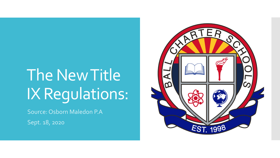# The New Title IX Regulations:

Source: Osborn Maledon P.A

Sept. 18, 2020

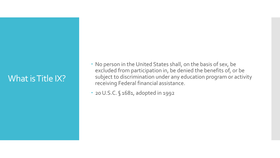#### What is Title IX?

- No person in the United States shall, on the basis of sex, be excluded from participation in, be denied the benefits of, or be subject to discrimination under any education program or activity receiving Federal financial assistance.
- 20 U.S.C. § 1681, adopted in 1992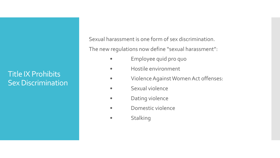#### Title IX Prohibits Sex Discrimination

Sexual harassment is one form of sex discrimination.

The new regulations now define "sexual harassment":

- Employee quid pro quo
- Hostile environment
- Violence Against Women Act offenses:
- Sexual violence
- Dating violence
- Domestic violence
- Stalking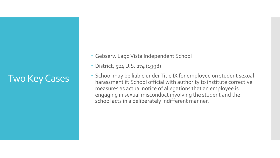### Two Key Cases

- Gebserv. Lago Vista Independent School
- District, 524 U.S. 274 (1998)
- School may be liable under Title IX for employee on student sexual harassment if: School official with authority to institute corrective measures as actual notice of allegations that an employee is engaging in sexual misconduct involving the student and the school acts in a deliberately indifferent manner.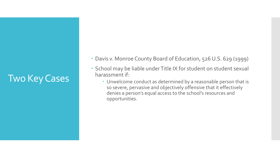#### Two Key Cases

- Davis v. Monroe County Board of Education, 526 U.S. 629 (1999)
- School may be liable under Title IX for student on student sexual harassment if:
	- Unwelcome conduct as determined by a reasonable person that is so severe, pervasive and objectively offensive that it effectively denies a person's equal access to the school's resources and opportunities.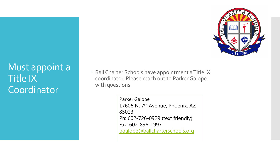

Must appoint a Title IX Coordinator

 Ball Charter Schools have appointment a Title IX coordinator. Please reach out to Parker Galope with questions.

> Parker Galope 17606 N. 7<sup>th</sup> Avenue, Phoenix, AZ 85023 Ph: 602-726-0929 (text friendly) Fax: 602-896-1997 [pgalope@ballcharterschools.org](mailto:pgalope@ballcharterschools.org)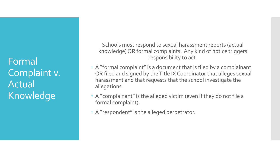Formal Complaint v. Actual Knowledge

Schools must respond to sexual harassment reports (actual knowledge) OR formal complaints. Any kind of notice triggers responsibility to act.

- A "formal complaint" is a document that is filed by a complainant OR filed and signed by the Title IX Coordinator that alleges sexual harassment and that requests that the school investigate the allegations.
- A "complainant" is the alleged victim (even if they do not file a formal complaint).
- A "respondent" is the alleged perpetrator.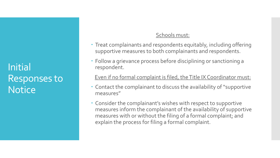Initial Responses to **Notice** 

#### Schools must:

- Treat complainants and respondents equitably, including offering supportive measures to both complainants and respondents.
- Follow a grievance process before disciplining or sanctioning a respondent.

Even if no formal complaint is filed, the Title IX Coordinator must:

- Contact the complainant to discuss the availability of "supportive measures"
- Consider the complainant's wishes with respect to supportive measures inform the complainant of the availability of supportive measures with or without the filing of a formal complaint; and explain the process for filing a formal complaint.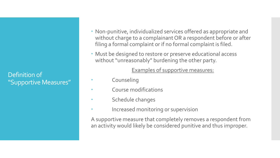Definition of "Supportive Measures"

- Non-punitive, individualized services offered as appropriate and without charge to a complainant OR a respondent before or after filing a formal complaint or if no formal complaint is filed.
- Must be designed to restore or preserve educational access without "unreasonably" burdening the other party.

#### Examples of supportive measures:

- Counseling
- Course modifications
- Schedule changes
- **•** Increased monitoring or supervision

A supportive measure that completely removes a respondent from an activity would likely be considered punitive and thus improper.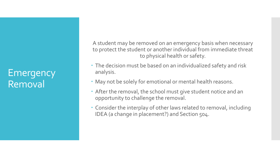#### Emergency Removal

A student may be removed on an emergency basis when necessary to protect the student or another individual from immediate threat to physical health or safety.

- The decision must be based on an individualized safety and risk analysis.
- May not be solely for emotional or mental health reasons.
- After the removal, the school must give student notice and an opportunity to challenge the removal.
- Consider the interplay of other laws related to removal, including IDEA (a change in placement?) and Section 504.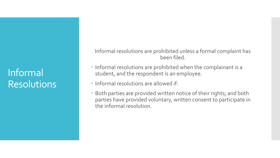### Informal Resolutions

Informal resolutions are prohibited unless a formal complaint has been filed.

- Informal resolutions are prohibited when the complainant is a student, and the respondent is an employee.
- Informal resolutions are allowed if:
- Both parties are provided written notice of their rights; and both parties have provided voluntary, written consent to participate in the informal resolution.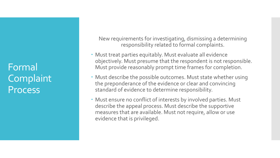Formal Complaint **Process** 

New requirements for investigating, dismissing a determining responsibility related to formal complaints.

- Must treat parties equitably. Must evaluate all evidence objectively. Must presume that the respondent is not responsible. Must provide reasonably prompt time frames for completion.
- Must describe the possible outcomes. Must state whether using the preponderance of the evidence or clear and convincing standard of evidence to determine responsibility.
- Must ensure no conflict of interests by involved parties. Must describe the appeal process. Must describe the supportive measures that are available. Must not require, allow or use evidence that is privileged.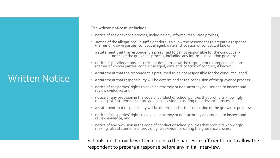### Written Notice

**The written notice must include:**

- notice of the grievance process, including any informal resolution process;
- notice of the allegations, in sufficient detail to allow the respondent to prepare a response (names of known parties, conduct alleged, date and location of conduct, if known);
- a statement that the respondent is presumed to be not responsible for the conduct all<br>• notice of the grievance process, including any informal resolution process;
- notice of the allegations, in sufficient detail to allow the respondent to prepare a response (names of known parties, conduct alleged, date and location of conduct, if known);
- a statement that the respondent is presumed to be not responsible for the conduct alleged;
- a statement that responsibility will be determined at the conclusion of the grievance process;
- notice of the parties' rights to have an attorney or non-attorney advisor and to inspect and review evidence; and
- notice of any provision in the code of conduct or school policies that prohibits knowingly making falsé statements or providing false evidence during the grievance process.
- a statement that responsibility will be determined at the conclusion of the grievance process;
- notice of the parties' rights to have an attorney or non-attorney advisor and to inspect and review evidence; and
- notice of any provision in the code of conduct or school policies that prohibits knowingly making falsé statements or providing false evidence during the grievance process.

Schools must provide written notice to the parties in sufficient time to allow the respondent to prepare a response before any initial interview.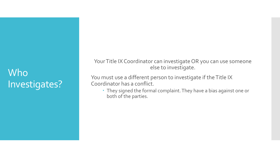### Who Investigates?

Your Title IX Coordinator can investigate OR you can use someone else to investigate.

You must use a different person to investigate if the Title IX Coordinator has a conflict.

 They signed the formal complaint. They have a bias against one or both of the parties.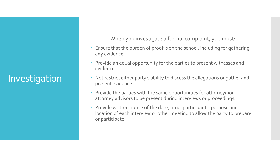# Investigation

#### When you investigate a formal complaint, you must:

- Ensure that the burden of proof is on the school, including for gathering any evidence.
- Provide an equal opportunity for the parties to present witnesses and evidence.
- Not restrict either party's ability to discuss the allegations or gather and present evidence.
- Provide the parties with the same opportunities for attorney/nonattorney advisors to be present during interviews or proceedings.
- Provide written notice of the date, time, participants, purpose and location of each interview or other meeting to allow the party to prepare or participate.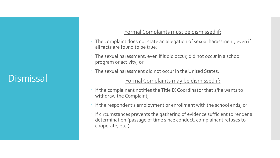#### **Dismissal**

#### Formal Complaints must be dismissed if:

- The complaint does not state an allegation of sexual harassment, even if all facts are found to be true;
- The sexual harassment, even if it did occur, did not occur in a school program or activity; or
- The sexual harassment did not occur in the United States.

#### Formal Complaints may be dismissed if:

- If the complainant notifies the Title IX Coordinator that s/he wants to withdraw the Complaint;
- If the respondent's employment or enrollment with the school ends; or
- If circumstances prevents the gathering of evidence sufficient to render a determination (passage of time since conduct, complainant refuses to cooperate, etc.).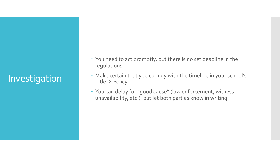# Investigation

- You need to act promptly, but there is no set deadline in the regulations.
- Make certain that you comply with the timeline in your school's Title IX Policy.
- You can delay for "good cause" (law enforcement, witness unavailability, etc.), but let both parties know in writing.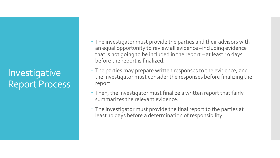**Investigative** Report Process

- The investigator must provide the parties and their advisors with an equal opportunity to review all evidence –including evidence that is not going to be included in the report – at least 10 days before the report is finalized.
- The parties may prepare written responses to the evidence, and the investigator must consider the responses before finalizing the report.
- Then, the investigator must finalize a written report that fairly summarizes the relevant evidence.
- The investigator must provide the final report to the parties at least 10 days before a determination of responsibility.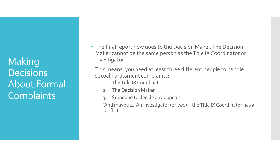Making **Decisions** About Formal **Complaints** 

- The final report now goes to the Decision Maker. The Decision Maker cannot be the same person as the Title IX Coordinator or investigator.
- This means, you need at least three different people to handle sexual harassment complaints:
	- 1. The Title IX Coordinator
	- 2. The Decision Maker
	- 3. Someone to decide any appeals

[And maybe 4. An investigator (or two) if the Title IX Coordinator has a conflict.]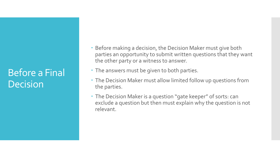### Before a Final Decision

- Before making a decision, the Decision Maker must give both parties an opportunity to submit written questions that they want the other party or a witness to answer.
- The answers must be given to both parties.
- The Decision Maker must allow limited follow up questions from the parties.
- The Decision Maker is a question "gate keeper" of sorts: can exclude a question but then must explain why the question is not relevant.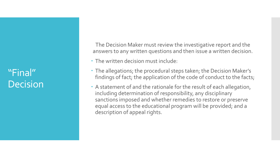"Final" Decision

The Decision Maker must review the investigative report and the answers to any written questions and then issue a written decision.

- The written decision must include:
- The allegations; the procedural steps taken; the Decision Maker's findings of fact; the application of the code of conduct to the facts;
- A statement of and the rationale for the result of each allegation, including determination of responsibility, any disciplinary sanctions imposed and whether remedies to restore or preserve equal access to the educational program will be provided; and a description of appeal rights.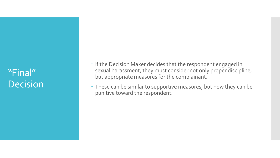### "Final" Decision

- If the Decision Maker decides that the respondent engaged in sexual harassment, they must consider not only proper discipline, but appropriate measures for the complainant.
- These can be similar to supportive measures, but now they can be punitive toward the respondent.